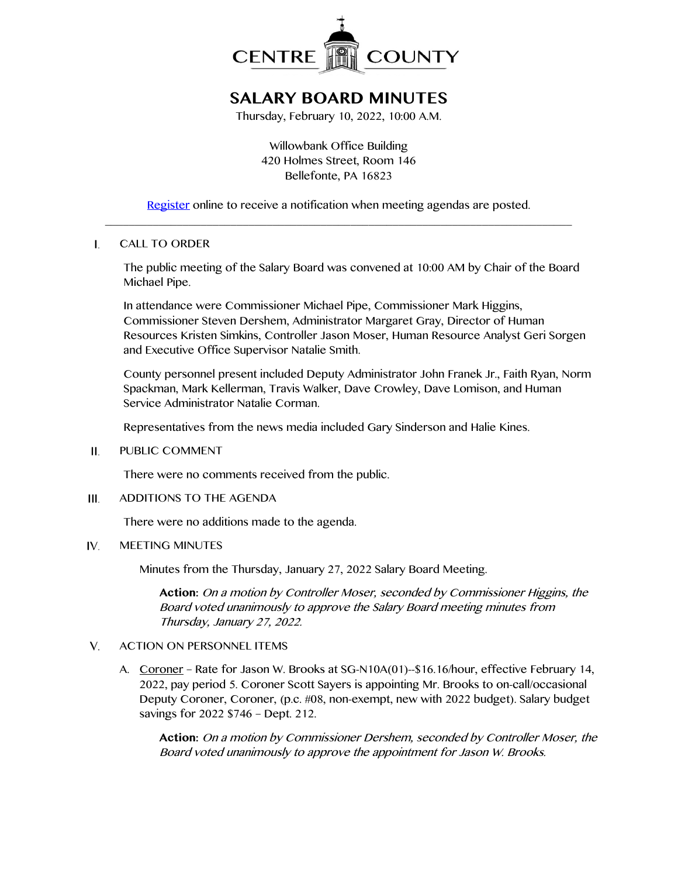

# **SALARY BOARD MINUTES**

Thursday, February 10, 2022, 10:00 A.M.

Willowbank Office Building 420 Holmes Street, Room 146 Bellefonte, PA 16823

[Register](http://www.centrecountypa.gov/AgendaCenter) online to receive a notification when meeting agendas are posted.  $\_$  , and the set of the set of the set of the set of the set of the set of the set of the set of the set of the set of the set of the set of the set of the set of the set of the set of the set of the set of the set of th

#### $\mathbf{L}$ CALL TO ORDER

The public meeting of the Salary Board was convened at 10:00 AM by Chair of the Board Michael Pipe.

In attendance were Commissioner Michael Pipe, Commissioner Mark Higgins, Commissioner Steven Dershem, Administrator Margaret Gray, Director of Human Resources Kristen Simkins, Controller Jason Moser, Human Resource Analyst Geri Sorgen and Executive Office Supervisor Natalie Smith.

County personnel present included Deputy Administrator John Franek Jr., Faith Ryan, Norm Spackman, Mark Kellerman, Travis Walker, Dave Crowley, Dave Lomison, and Human Service Administrator Natalie Corman.

Representatives from the news media included Gary Sinderson and Halie Kines.

#### PUBLIC COMMENT Н.

There were no comments received from the public.

#### ADDITIONS TO THE AGENDA III.

There were no additions made to the agenda.

#### IV. MEETING MINUTES

Minutes from the Thursday, January 27, 2022 Salary Board Meeting.

**Action:** On a motion by Controller Moser, seconded by Commissioner Higgins, the Board voted unanimously to approve the Salary Board meeting minutes from Thursday, January 27, 2022.

#### $V_{1}$ ACTION ON PERSONNEL ITEMS

A. Coroner - Rate for Jason W. Brooks at SG-N10A(01)--\$16.16/hour, effective February 14, 2022, pay period 5. Coroner Scott Sayers is appointing Mr. Brooks to on-call/occasional Deputy Coroner, Coroner, (p.c. #08, non-exempt, new with 2022 budget). Salary budget savings for 2022 \$746 – Dept. 212.

**Action:** On a motion by Commissioner Dershem, seconded by Controller Moser, the Board voted unanimously to approve the appointment for Jason W. Brooks.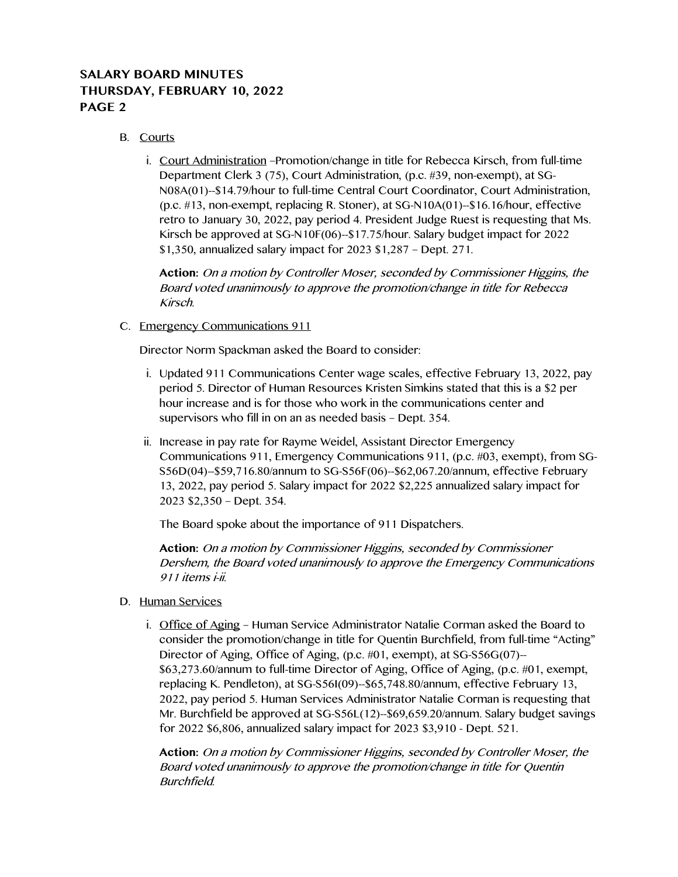# **SALARY BOARD MINUTES THURSDAY, FEBRUARY 10, 2022 PAGE 2**

### B. Courts

i. Court Administration –Promotion/change in title for Rebecca Kirsch, from full-time Department Clerk 3 (75), Court Administration, (p.c. #39, non-exempt), at SG-N08A(01)--\$14.79/hour to full-time Central Court Coordinator, Court Administration, (p.c. #13, non-exempt, replacing R. Stoner), at SG-N10A(01)--\$16.16/hour, effective retro to January 30, 2022, pay period 4. President Judge Ruest is requesting that Ms. Kirsch be approved at SG-N10F(06)--\$17.75/hour. Salary budget impact for 2022 \$1,350, annualized salary impact for 2023 \$1,287 – Dept. 271.

**Action:** On a motion by Controller Moser, seconded by Commissioner Higgins, the Board voted unanimously to approve the promotion/change in title for Rebecca Kirsch.

### C. Emergency Communications 911

Director Norm Spackman asked the Board to consider:

- i. Updated 911 Communications Center wage scales, effective February 13, 2022, pay period 5. Director of Human Resources Kristen Simkins stated that this is a \$2 per hour increase and is for those who work in the communications center and supervisors who fill in on an as needed basis – Dept. 354.
- ii. Increase in pay rate for Rayme Weidel, Assistant Director Emergency Communications 911, Emergency Communications 911, (p.c. #03, exempt), from SG-S56D(04)--\$59,716.80/annum to SG-S56F(06)--\$62,067.20/annum, effective February 13, 2022, pay period 5. Salary impact for 2022 \$2,225 annualized salary impact for 2023 \$2,350 – Dept. 354.

The Board spoke about the importance of 911 Dispatchers.

**Action:** On a motion by Commissioner Higgins, seconded by Commissioner Dershem, the Board voted unanimously to approve the Emergency Communications 911 items i-ii.

- D. Human Services
	- i. Office of Aging Human Service Administrator Natalie Corman asked the Board to consider the promotion/change in title for Quentin Burchfield, from full-time "Acting" Director of Aging, Office of Aging, (p.c. #01, exempt), at SG-S56G(07)-- \$63,273.60/annum to full-time Director of Aging, Office of Aging, (p.c. #01, exempt, replacing K. Pendleton), at SG-S56I(09)--\$65,748.80/annum, effective February 13, 2022, pay period 5. Human Services Administrator Natalie Corman is requesting that Mr. Burchfield be approved at SG-S56L(12)--\$69,659.20/annum. Salary budget savings for 2022 \$6,806, annualized salary impact for 2023 \$3,910 - Dept. 521.

**Action:** On a motion by Commissioner Higgins, seconded by Controller Moser, the Board voted unanimously to approve the promotion/change in title for Quentin Burchfield.